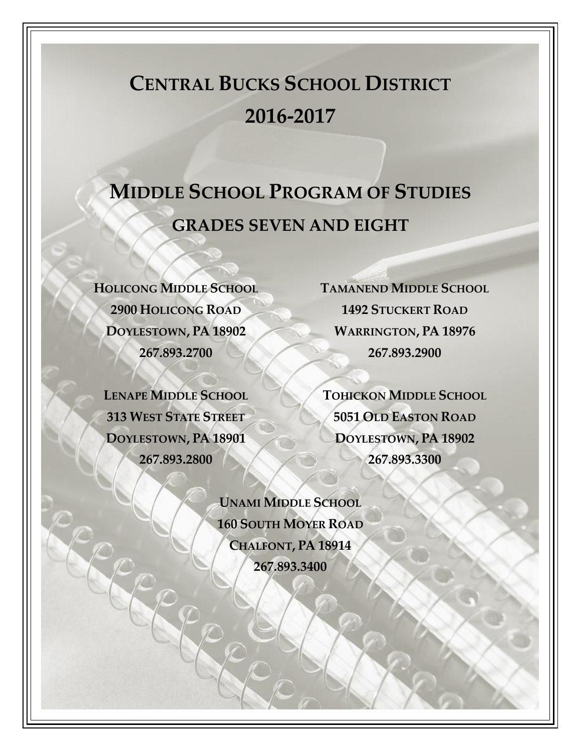# **CENTRAL BUCKS SCHOOL DISTRICT 2016-2017**

# **MIDDLE SCHOOL PROGRAM OF STUDIES GRADES SEVEN AND EIGHT**

**HOLICONG MIDDLE SCHOOL 2900 HOLICONG ROAD DOYLESTOWN, PA 18902 267.893.2700**

**LENAPE MIDDLE SCHOOL 313 WEST STATE STREET DOYLESTOWN, PA 18901 267.893.2800**

**TAMANEND MIDDLE SCHOOL 1492 STUCKERT ROAD WARRINGTON, PA 18976 267.893.2900**

**TOHICKON MIDDLE SCHOOL 5051 OLD EASTON ROAD DOYLESTOWN, PA 18902 267.893.3300**

**UNAMI MIDDLE SCHOOL 160 SOUTH MOYER ROAD CHALFONT, PA 18914 267.893.3400**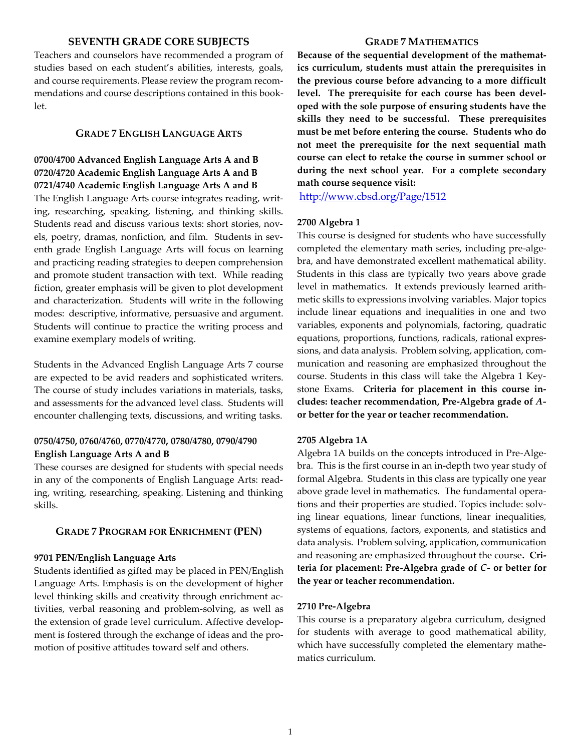## **SEVENTH GRADE CORE SUBJECTS**

Teachers and counselors have recommended a program of studies based on each student's abilities, interests, goals, and course requirements. Please review the program recommendations and course descriptions contained in this booklet.

## **GRADE 7 ENGLISH LANGUAGE ARTS**

## **0700/4700 Advanced English Language Arts A and B 0720/4720 Academic English Language Arts A and B 0721/4740 Academic English Language Arts A and B**

The English Language Arts course integrates reading, writing, researching, speaking, listening, and thinking skills. Students read and discuss various texts: short stories, novels, poetry, dramas, nonfiction, and film. Students in seventh grade English Language Arts will focus on learning and practicing reading strategies to deepen comprehension and promote student transaction with text. While reading fiction, greater emphasis will be given to plot development and characterization. Students will write in the following modes: descriptive, informative, persuasive and argument. Students will continue to practice the writing process and examine exemplary models of writing.

Students in the Advanced English Language Arts 7 course are expected to be avid readers and sophisticated writers. The course of study includes variations in materials, tasks, and assessments for the advanced level class. Students will encounter challenging texts, discussions, and writing tasks.

## **0750/4750, 0760/4760, 0770/4770, 0780/4780, 0790/4790 English Language Arts A and B**

These courses are designed for students with special needs in any of the components of English Language Arts: reading, writing, researching, speaking. Listening and thinking skills.

## **GRADE 7 PROGRAM FOR ENRICHMENT (PEN)**

#### **9701 PEN/English Language Arts**

Students identified as gifted may be placed in PEN/English Language Arts. Emphasis is on the development of higher level thinking skills and creativity through enrichment activities, verbal reasoning and problem-solving, as well as the extension of grade level curriculum. Affective development is fostered through the exchange of ideas and the promotion of positive attitudes toward self and others.

## **GRADE 7 MATHEMATICS**

**Because of the sequential development of the mathematics curriculum, students must attain the prerequisites in the previous course before advancing to a more difficult level. The prerequisite for each course has been developed with the sole purpose of ensuring students have the skills they need to be successful. These prerequisites must be met before entering the course. Students who do not meet the prerequisite for the next sequential math course can elect to retake the course in summer school or during the next school year. For a complete secondary math course sequence visit:**

<http://www.cbsd.org/Page/1512>

#### **2700 Algebra 1**

This course is designed for students who have successfully completed the elementary math series, including pre-algebra, and have demonstrated excellent mathematical ability. Students in this class are typically two years above grade level in mathematics. It extends previously learned arithmetic skills to expressions involving variables. Major topics include linear equations and inequalities in one and two variables, exponents and polynomials, factoring, quadratic equations, proportions, functions, radicals, rational expressions, and data analysis. Problem solving, application, communication and reasoning are emphasized throughout the course. Students in this class will take the Algebra 1 Keystone Exams. **Criteria for placement in this course includes: teacher recommendation, Pre-Algebra grade of** *A***or better for the year or teacher recommendation.** 

#### **2705 Algebra 1A**

Algebra 1A builds on the concepts introduced in Pre-Algebra. This is the first course in an in-depth two year study of formal Algebra. Students in this class are typically one year above grade level in mathematics. The fundamental operations and their properties are studied. Topics include: solving linear equations, linear functions, linear inequalities, systems of equations, factors, exponents, and statistics and data analysis. Problem solving, application, communication and reasoning are emphasized throughout the course**. Criteria for placement: Pre-Algebra grade of** *C-* **or better for the year or teacher recommendation.**

#### **2710 Pre-Algebra**

This course is a preparatory algebra curriculum, designed for students with average to good mathematical ability, which have successfully completed the elementary mathematics curriculum.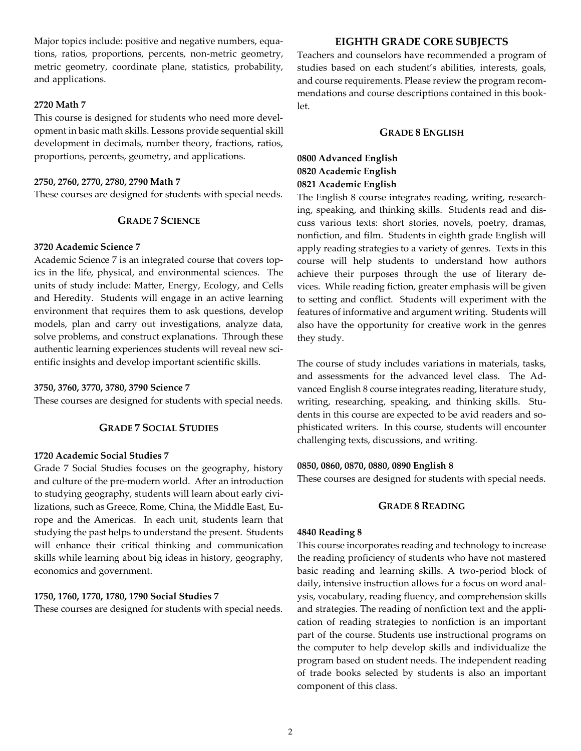Major topics include: positive and negative numbers, equations, ratios, proportions, percents, non-metric geometry, metric geometry, coordinate plane, statistics, probability, and applications.

## **2720 Math 7**

This course is designed for students who need more development in basic math skills. Lessons provide sequential skill development in decimals, number theory, fractions, ratios, proportions, percents, geometry, and applications.

#### **2750, 2760, 2770, 2780, 2790 Math 7**

These courses are designed for students with special needs.

## **GRADE 7 SCIENCE**

## **3720 Academic Science 7**

Academic Science 7 is an integrated course that covers topics in the life, physical, and environmental sciences. The units of study include: Matter, Energy, Ecology, and Cells and Heredity. Students will engage in an active learning environment that requires them to ask questions, develop models, plan and carry out investigations, analyze data, solve problems, and construct explanations. Through these authentic learning experiences students will reveal new scientific insights and develop important scientific skills.

#### **3750, 3760, 3770, 3780, 3790 Science 7**

These courses are designed for students with special needs.

## **GRADE 7 SOCIAL STUDIES**

## **1720 Academic Social Studies 7**

Grade 7 Social Studies focuses on the geography, history and culture of the pre-modern world. After an introduction to studying geography, students will learn about early civilizations, such as Greece, Rome, China, the Middle East, Europe and the Americas. In each unit, students learn that studying the past helps to understand the present. Students will enhance their critical thinking and communication skills while learning about big ideas in history, geography, economics and government.

## **1750, 1760, 1770, 1780, 1790 Social Studies 7**

These courses are designed for students with special needs.

## **EIGHTH GRADE CORE SUBJECTS**

Teachers and counselors have recommended a program of studies based on each student's abilities, interests, goals, and course requirements. Please review the program recommendations and course descriptions contained in this booklet.

## **GRADE 8 ENGLISH**

## **0800 Advanced English 0820 Academic English 0821 Academic English**

The English 8 course integrates reading, writing, researching, speaking, and thinking skills. Students read and discuss various texts: short stories, novels, poetry, dramas, nonfiction, and film. Students in eighth grade English will apply reading strategies to a variety of genres. Texts in this course will help students to understand how authors achieve their purposes through the use of literary devices. While reading fiction, greater emphasis will be given to setting and conflict. Students will experiment with the features of informative and argument writing. Students will also have the opportunity for creative work in the genres they study.

The course of study includes variations in materials, tasks, and assessments for the advanced level class. The Advanced English 8 course integrates reading, literature study, writing, researching, speaking, and thinking skills. Students in this course are expected to be avid readers and sophisticated writers. In this course, students will encounter challenging texts, discussions, and writing.

#### **0850, 0860, 0870, 0880, 0890 English 8**

These courses are designed for students with special needs.

## **GRADE 8 READING**

#### **4840 Reading 8**

This course incorporates reading and technology to increase the reading proficiency of students who have not mastered basic reading and learning skills. A two-period block of daily, intensive instruction allows for a focus on word analysis, vocabulary, reading fluency, and comprehension skills and strategies. The reading of nonfiction text and the application of reading strategies to nonfiction is an important part of the course. Students use instructional programs on the computer to help develop skills and individualize the program based on student needs. The independent reading of trade books selected by students is also an important component of this class.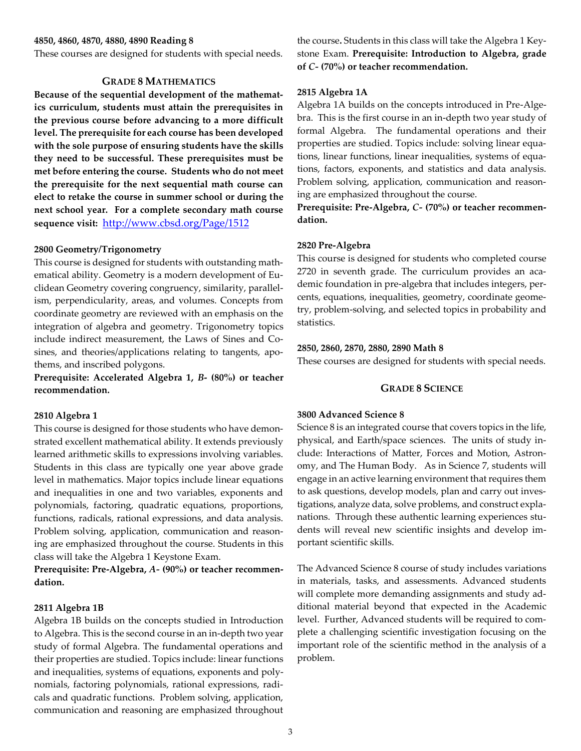#### **4850, 4860, 4870, 4880, 4890 Reading 8**

These courses are designed for students with special needs.

## **GRADE 8 MATHEMATICS**

**Because of the sequential development of the mathematics curriculum, students must attain the prerequisites in the previous course before advancing to a more difficult level. The prerequisite for each course has been developed with the sole purpose of ensuring students have the skills they need to be successful. These prerequisites must be met before entering the course. Students who do not meet the prerequisite for the next sequential math course can elect to retake the course in summer school or during the next school year. For a complete secondary math course sequence visit:** <http://www.cbsd.org/Page/1512>

#### **2800 Geometry/Trigonometry**

This course is designed for students with outstanding mathematical ability. Geometry is a modern development of Euclidean Geometry covering congruency, similarity, parallelism, perpendicularity, areas, and volumes. Concepts from coordinate geometry are reviewed with an emphasis on the integration of algebra and geometry. Trigonometry topics include indirect measurement, the Laws of Sines and Cosines, and theories/applications relating to tangents, apothems, and inscribed polygons.

**Prerequisite: Accelerated Algebra 1,** *B***- (80%) or teacher recommendation.**

#### **2810 Algebra 1**

This course is designed for those students who have demonstrated excellent mathematical ability. It extends previously learned arithmetic skills to expressions involving variables. Students in this class are typically one year above grade level in mathematics. Major topics include linear equations and inequalities in one and two variables, exponents and polynomials, factoring, quadratic equations, proportions, functions, radicals, rational expressions, and data analysis. Problem solving, application, communication and reasoning are emphasized throughout the course. Students in this class will take the Algebra 1 Keystone Exam.

**Prerequisite: Pre-Algebra,** *A-* **(90%) or teacher recommendation.**

#### **2811 Algebra 1B**

Algebra 1B builds on the concepts studied in Introduction to Algebra. This is the second course in an in-depth two year study of formal Algebra. The fundamental operations and their properties are studied. Topics include: linear functions and inequalities, systems of equations, exponents and polynomials, factoring polynomials, rational expressions, radicals and quadratic functions. Problem solving, application, communication and reasoning are emphasized throughout

the course**.** Students in this class will take the Algebra 1 Keystone Exam. **Prerequisite: Introduction to Algebra, grade of** *C-* **(70%) or teacher recommendation.**

#### **2815 Algebra 1A**

Algebra 1A builds on the concepts introduced in Pre-Algebra. This is the first course in an in-depth two year study of formal Algebra. The fundamental operations and their properties are studied. Topics include: solving linear equations, linear functions, linear inequalities, systems of equations, factors, exponents, and statistics and data analysis. Problem solving, application, communication and reasoning are emphasized throughout the course.

**Prerequisite: Pre-Algebra,** *C-* **(70%) or teacher recommendation.** 

#### **2820 Pre-Algebra**

This course is designed for students who completed course 2720 in seventh grade. The curriculum provides an academic foundation in pre-algebra that includes integers, percents, equations, inequalities, geometry, coordinate geometry, problem-solving, and selected topics in probability and statistics.

#### **2850, 2860, 2870, 2880, 2890 Math 8**

These courses are designed for students with special needs.

#### **GRADE 8 SCIENCE**

#### **3800 Advanced Science 8**

Science 8 is an integrated course that covers topics in the life, physical, and Earth/space sciences. The units of study include: Interactions of Matter, Forces and Motion, Astronomy, and The Human Body. As in Science 7, students will engage in an active learning environment that requires them to ask questions, develop models, plan and carry out investigations, analyze data, solve problems, and construct explanations. Through these authentic learning experiences students will reveal new scientific insights and develop important scientific skills.

The Advanced Science 8 course of study includes variations in materials, tasks, and assessments. Advanced students will complete more demanding assignments and study additional material beyond that expected in the Academic level. Further, Advanced students will be required to complete a challenging scientific investigation focusing on the important role of the scientific method in the analysis of a problem.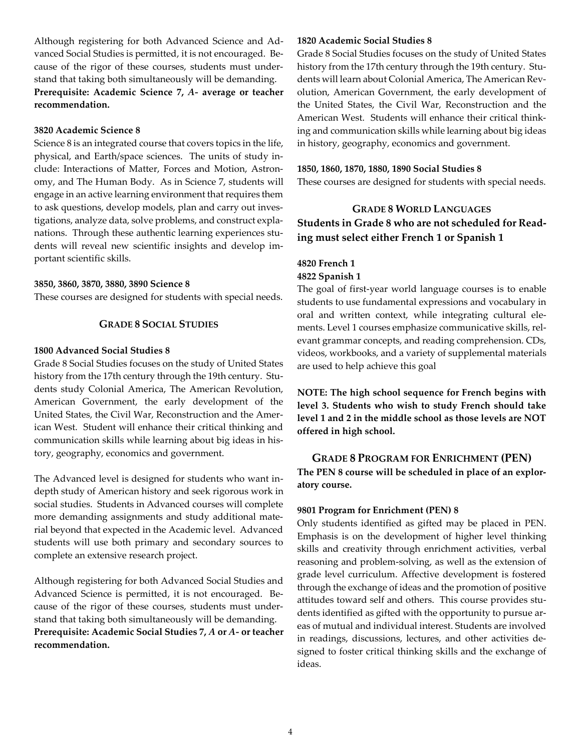Although registering for both Advanced Science and Advanced Social Studies is permitted, it is not encouraged. Because of the rigor of these courses, students must understand that taking both simultaneously will be demanding. **Prerequisite: Academic Science 7,** *A-* **average or teacher recommendation.** 

## **3820 Academic Science 8**

Science 8 is an integrated course that covers topics in the life, physical, and Earth/space sciences. The units of study include: Interactions of Matter, Forces and Motion, Astronomy, and The Human Body. As in Science 7, students will engage in an active learning environment that requires them to ask questions, develop models, plan and carry out investigations, analyze data, solve problems, and construct explanations. Through these authentic learning experiences students will reveal new scientific insights and develop important scientific skills.

## **3850, 3860, 3870, 3880, 3890 Science 8**

These courses are designed for students with special needs.

## **GRADE 8 SOCIAL STUDIES**

## **1800 Advanced Social Studies 8**

Grade 8 Social Studies focuses on the study of United States history from the 17th century through the 19th century. Students study Colonial America, The American Revolution, American Government, the early development of the United States, the Civil War, Reconstruction and the American West. Student will enhance their critical thinking and communication skills while learning about big ideas in history, geography, economics and government.

The Advanced level is designed for students who want indepth study of American history and seek rigorous work in social studies. Students in Advanced courses will complete more demanding assignments and study additional material beyond that expected in the Academic level. Advanced students will use both primary and secondary sources to complete an extensive research project.

Although registering for both Advanced Social Studies and Advanced Science is permitted, it is not encouraged. Because of the rigor of these courses, students must understand that taking both simultaneously will be demanding. **Prerequisite: Academic Social Studies 7,** *A* **or** *A-* **or teacher recommendation.** 

## **1820 Academic Social Studies 8**

Grade 8 Social Studies focuses on the study of United States history from the 17th century through the 19th century. Students will learn about Colonial America, The American Revolution, American Government, the early development of the United States, the Civil War, Reconstruction and the American West. Students will enhance their critical thinking and communication skills while learning about big ideas in history, geography, economics and government.

#### **1850, 1860, 1870, 1880, 1890 Social Studies 8**

These courses are designed for students with special needs.

## **GRADE 8 WORLD LANGUAGES Students in Grade 8 who are not scheduled for Reading must select either French 1 or Spanish 1**

## **4820 French 1 4822 Spanish 1**

The goal of first-year world language courses is to enable students to use fundamental expressions and vocabulary in oral and written context, while integrating cultural elements. Level 1 courses emphasize communicative skills, relevant grammar concepts, and reading comprehension. CDs, videos, workbooks, and a variety of supplemental materials are used to help achieve this goal

**NOTE: The high school sequence for French begins with level 3. Students who wish to study French should take level 1 and 2 in the middle school as those levels are NOT offered in high school.** 

**GRADE 8 PROGRAM FOR ENRICHMENT (PEN) The PEN 8 course will be scheduled in place of an exploratory course.**

#### **9801 Program for Enrichment (PEN) 8**

Only students identified as gifted may be placed in PEN. Emphasis is on the development of higher level thinking skills and creativity through enrichment activities, verbal reasoning and problem-solving, as well as the extension of grade level curriculum. Affective development is fostered through the exchange of ideas and the promotion of positive attitudes toward self and others. This course provides students identified as gifted with the opportunity to pursue areas of mutual and individual interest. Students are involved in readings, discussions, lectures, and other activities designed to foster critical thinking skills and the exchange of ideas.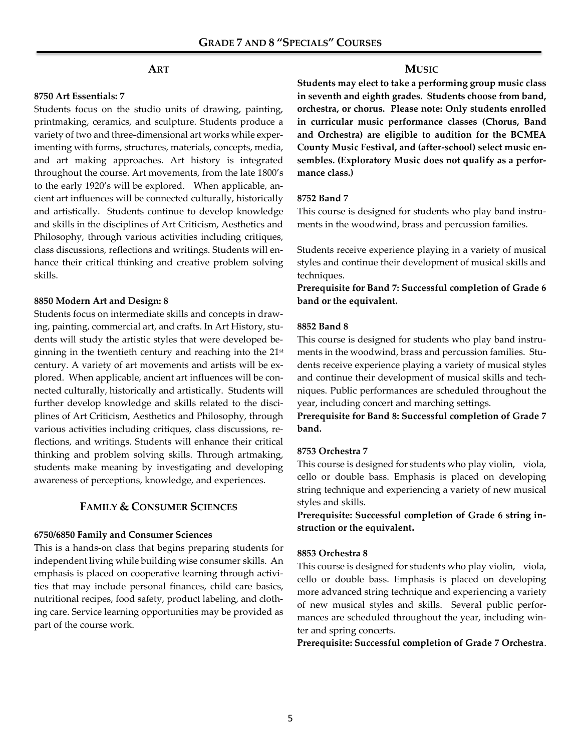## **ART**

## **8750 Art Essentials: 7**

Students focus on the studio units of drawing, painting, printmaking, ceramics, and sculpture. Students produce a variety of two and three-dimensional art works while experimenting with forms, structures, materials, concepts, media, and art making approaches. Art history is integrated throughout the course. Art movements, from the late 1800's to the early 1920's will be explored. When applicable, ancient art influences will be connected culturally, historically and artistically. Students continue to develop knowledge and skills in the disciplines of Art Criticism, Aesthetics and Philosophy, through various activities including critiques, class discussions, reflections and writings. Students will enhance their critical thinking and creative problem solving skills.

#### **8850 Modern Art and Design: 8**

Students focus on intermediate skills and concepts in drawing, painting, commercial art, and crafts. In Art History, students will study the artistic styles that were developed beginning in the twentieth century and reaching into the  $21<sup>st</sup>$ century. A variety of art movements and artists will be explored. When applicable, ancient art influences will be connected culturally, historically and artistically. Students will further develop knowledge and skills related to the disciplines of Art Criticism, Aesthetics and Philosophy, through various activities including critiques, class discussions, reflections, and writings. Students will enhance their critical thinking and problem solving skills. Through artmaking, students make meaning by investigating and developing awareness of perceptions, knowledge, and experiences.

## **FAMILY & CONSUMER SCIENCES**

## **6750/6850 Family and Consumer Sciences**

This is a hands-on class that begins preparing students for independent living while building wise consumer skills. An emphasis is placed on cooperative learning through activities that may include personal finances, child care basics, nutritional recipes, food safety, product labeling, and clothing care. Service learning opportunities may be provided as part of the course work.

## **MUSIC**

**Students may elect to take a performing group music class in seventh and eighth grades. Students choose from band, orchestra, or chorus. Please note: Only students enrolled in curricular music performance classes (Chorus, Band and Orchestra) are eligible to audition for the BCMEA County Music Festival, and (after-school) select music ensembles. (Exploratory Music does not qualify as a performance class.)**

## **8752 Band 7**

This course is designed for students who play band instruments in the woodwind, brass and percussion families.

Students receive experience playing in a variety of musical styles and continue their development of musical skills and techniques.

**Prerequisite for Band 7: Successful completion of Grade 6 band or the equivalent.** 

## **8852 Band 8**

This course is designed for students who play band instruments in the woodwind, brass and percussion families. Students receive experience playing a variety of musical styles and continue their development of musical skills and techniques. Public performances are scheduled throughout the year, including concert and marching settings.

**Prerequisite for Band 8: Successful completion of Grade 7 band.** 

## **8753 Orchestra 7**

This course is designed for students who play violin, viola, cello or double bass. Emphasis is placed on developing string technique and experiencing a variety of new musical styles and skills.

**Prerequisite: Successful completion of Grade 6 string instruction or the equivalent.** 

## **8853 Orchestra 8**

This course is designed for students who play violin, viola, cello or double bass. Emphasis is placed on developing more advanced string technique and experiencing a variety of new musical styles and skills. Several public performances are scheduled throughout the year, including winter and spring concerts.

**Prerequisite: Successful completion of Grade 7 Orchestra**.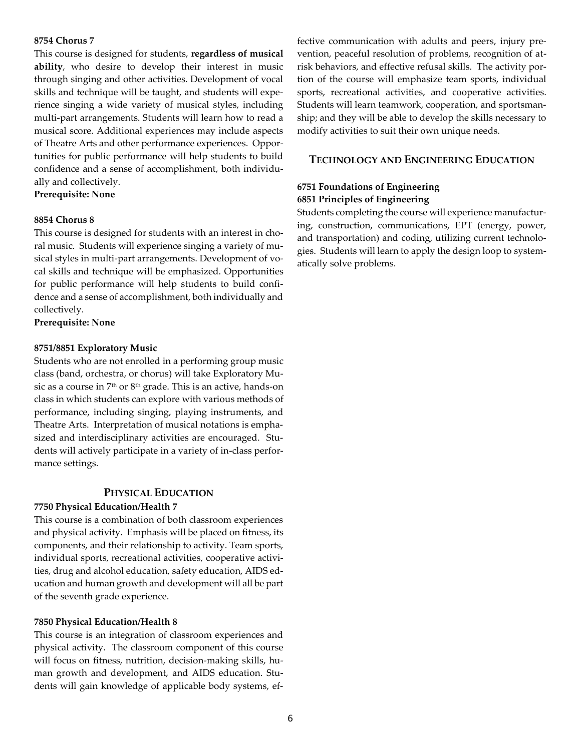## **8754 Chorus 7**

This course is designed for students, **regardless of musical ability**, who desire to develop their interest in music through singing and other activities. Development of vocal skills and technique will be taught, and students will experience singing a wide variety of musical styles, including multi-part arrangements. Students will learn how to read a musical score. Additional experiences may include aspects of Theatre Arts and other performance experiences. Opportunities for public performance will help students to build confidence and a sense of accomplishment, both individually and collectively.

**Prerequisite: None**

## **8854 Chorus 8**

This course is designed for students with an interest in choral music. Students will experience singing a variety of musical styles in multi-part arrangements. Development of vocal skills and technique will be emphasized. Opportunities for public performance will help students to build confidence and a sense of accomplishment, both individually and collectively.

**Prerequisite: None**

## **8751/8851 Exploratory Music**

Students who are not enrolled in a performing group music class (band, orchestra, or chorus) will take Exploratory Music as a course in 7th or 8th grade. This is an active, hands-on class in which students can explore with various methods of performance, including singing, playing instruments, and Theatre Arts. Interpretation of musical notations is emphasized and interdisciplinary activities are encouraged. Students will actively participate in a variety of in-class performance settings.

## **PHYSICAL EDUCATION**

## **7750 Physical Education/Health 7**

This course is a combination of both classroom experiences and physical activity. Emphasis will be placed on fitness, its components, and their relationship to activity. Team sports, individual sports, recreational activities, cooperative activities, drug and alcohol education, safety education, AIDS education and human growth and development will all be part of the seventh grade experience.

## **7850 Physical Education/Health 8**

This course is an integration of classroom experiences and physical activity. The classroom component of this course will focus on fitness, nutrition, decision-making skills, human growth and development, and AIDS education. Students will gain knowledge of applicable body systems, effective communication with adults and peers, injury prevention, peaceful resolution of problems, recognition of atrisk behaviors, and effective refusal skills. The activity portion of the course will emphasize team sports, individual sports, recreational activities, and cooperative activities. Students will learn teamwork, cooperation, and sportsmanship; and they will be able to develop the skills necessary to modify activities to suit their own unique needs.

## **TECHNOLOGY AND ENGINEERING EDUCATION**

## **6751 Foundations of Engineering 6851 Principles of Engineering**

Students completing the course will experience manufacturing, construction, communications, EPT (energy, power, and transportation) and coding, utilizing current technologies. Students will learn to apply the design loop to systematically solve problems.